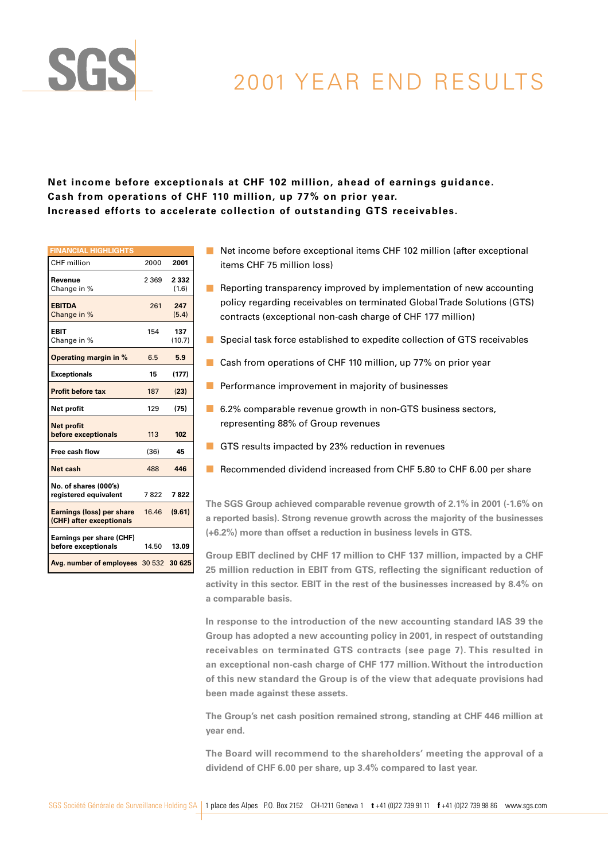

# 2001 YEAR END RESULTS

## **Net income before exceptionals at CHF 102 million, ahead of earnings guidance. Cash from operations of CHF 110 million, up 77% on prior year. Increased efforts to accelerate collection of outstanding GTS receivables.**

| <b>FINANCIAL HIGHLIGHTS</b>                                  |         |                  |
|--------------------------------------------------------------|---------|------------------|
| CHF million                                                  | 2000    | 2001             |
| Revenue<br>Change in %                                       | 2 3 6 9 | 2 3 3 2<br>(1.6) |
| <b>EBITDA</b><br>Change in %                                 | 261     | 247<br>(5.4)     |
| <b>FBIT</b><br>Change in %                                   | 154     | 137<br>(10.7)    |
| <b>Operating margin in %</b>                                 | 6.5     | 5.9              |
| <b>Exceptionals</b>                                          | 15      | (177)            |
| <b>Profit before tax</b>                                     | 187     | (23)             |
| Net profit                                                   | 129     | (75)             |
| <b>Net profit</b><br>before exceptionals                     | 113     | 102              |
| Free cash flow                                               | (36)    | 45               |
| Net cash                                                     | 488     | 446              |
| No. of shares (000's)<br>registered equivalent               | 7822    | 7822             |
| <b>Earnings (loss) per share</b><br>(CHF) after exceptionals | 16.46   | (9.61)           |
| Earnings per share (CHF)<br>before exceptionals              | 14.50   | 13.09            |
| Avg. number of employees 30 532 30 625                       |         |                  |

- Net income before exceptional items CHF 102 million (after exceptional items CHF 75 million loss)
- Reporting transparency improved by implementation of new accounting policy regarding receivables on terminated Global Trade Solutions (GTS) contracts (exceptional non-cash charge of CHF 177 million)
- Special task force established to expedite collection of GTS receivables
- Cash from operations of CHF 110 million, up 77% on prior year
- $\blacksquare$  Performance improvement in majority of businesses
- 6.2% comparable revenue growth in non-GTS business sectors, representing 88% of Group revenues
- GTS results impacted by 23% reduction in revenues
- Recommended dividend increased from CHF 5.80 to CHF 6.00 per share

**The SGS Group achieved comparable revenue growth of 2.1% in 2001 (-1.6% on a reported basis). Strong revenue growth across the majority of the businesses (+6.2%) more than offset a reduction in business levels in GTS.**

**Group EBIT declined by CHF 17 million to CHF 137 million, impacted by a CHF 25 million reduction in EBIT from GTS, reflecting the significant reduction of activity in this sector. EBIT in the rest of the businesses increased by 8.4% on a comparable basis.**

**In response to the introduction of the new accounting standard IAS 39 the Group has adopted a new accounting policy in 2001, in respect of outstanding receivables on terminated GTS contracts (see page 7). This resulted in an exceptional non-cash charge of CHF 177 million. Without the introduction of this new standard the Group is of the view that adequate provisions had been made against these assets.**

**The Group's net cash position remained strong, standing at CHF 446 million at year end.**

**The Board will recommend to the shareholders' meeting the approval of a dividend of CHF 6.00 per share, up 3.4% compared to last year.**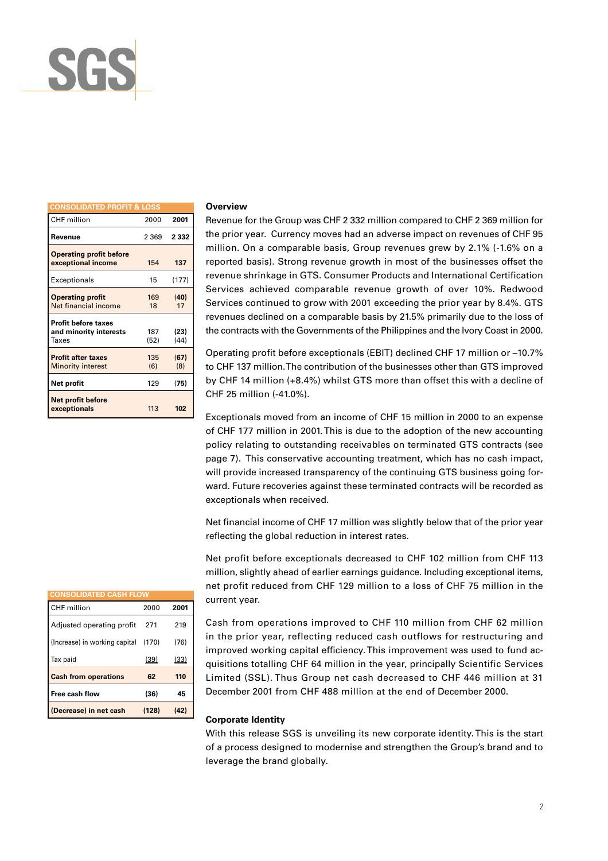

| <b>CONSOLIDATED PROFIT &amp; LOSS</b>                         |             |              |
|---------------------------------------------------------------|-------------|--------------|
| CHF million                                                   | 2000        | 2001         |
| Revenue                                                       | 2 369       | 2 3 3 2      |
| <b>Operating profit before</b><br>exceptional income          | 154         | 137          |
| Exceptionals                                                  | 15          | (177)        |
| <b>Operating profit</b><br>Net financial income               | 169<br>18   | (40)<br>17   |
| <b>Profit before taxes</b><br>and minority interests<br>Taxes | 187<br>(52) | (23)<br>(44) |
| <b>Profit after taxes</b><br><b>Minority interest</b>         | 135<br>(6)  | (67)<br>(8)  |
| Net profit                                                    | 129         | (75)         |
| <b>Net profit before</b><br>exceptionals                      | 113         | 102          |

#### **Overview**

Revenue for the Group was CHF 2 332 million compared to CHF 2 369 million for the prior year. Currency moves had an adverse impact on revenues of CHF 95 million. On a comparable basis, Group revenues grew by 2.1% (-1.6% on a reported basis). Strong revenue growth in most of the businesses offset the revenue shrinkage in GTS. Consumer Products and International Certification Services achieved comparable revenue growth of over 10%. Redwood Services continued to grow with 2001 exceeding the prior year by 8.4%. GTS revenues declined on a comparable basis by 21.5% primarily due to the loss of the contracts with the Governments of the Philippines and the Ivory Coast in 2000.

Operating profit before exceptionals (EBIT) declined CHF 17 million or –10.7% to CHF 137 million. The contribution of the businesses other than GTS improved by CHF 14 million (+8.4%) whilst GTS more than offset this with a decline of CHF 25 million (-41.0%).

Exceptionals moved from an income of CHF 15 million in 2000 to an expense of CHF 177 million in 2001. This is due to the adoption of the new accounting policy relating to outstanding receivables on terminated GTS contracts (see page 7). This conservative accounting treatment, which has no cash impact, will provide increased transparency of the continuing GTS business going forward. Future recoveries against these terminated contracts will be recorded as exceptionals when received.

Net financial income of CHF 17 million was slightly below that of the prior year reflecting the global reduction in interest rates.

Net profit before exceptionals decreased to CHF 102 million from CHF 113 million, slightly ahead of earlier earnings guidance. Including exceptional items, net profit reduced from CHF 129 million to a loss of CHF 75 million in the current year.

Cash from operations improved to CHF 110 million from CHF 62 million in the prior year, reflecting reduced cash outflows for restructuring and improved working capital efficiency. This improvement was used to fund acquisitions totalling CHF 64 million in the year, principally Scientific Services Limited (SSL). Thus Group net cash decreased to CHF 446 million at 31 December 2001 from CHF 488 million at the end of December 2000.

#### **Corporate Identity**

With this release SGS is unveiling its new corporate identity. This is the start of a process designed to modernise and strengthen the Group's brand and to leverage the brand globally.

| <b>CONSOLIDATED CASH FLOW</b> |       |      |
|-------------------------------|-------|------|
|                               |       |      |
| CHF million                   | 2000  | 2001 |
| Adjusted operating profit     | 271   | 219  |
| (Increase) in working capital | (170) | (76) |
| Tax paid                      | (39)  | (33) |
| <b>Cash from operations</b>   | 62    | 110  |
| Free cash flow                | (36)  | 45   |
| (Decrease) in net cash        | (128) | (42) |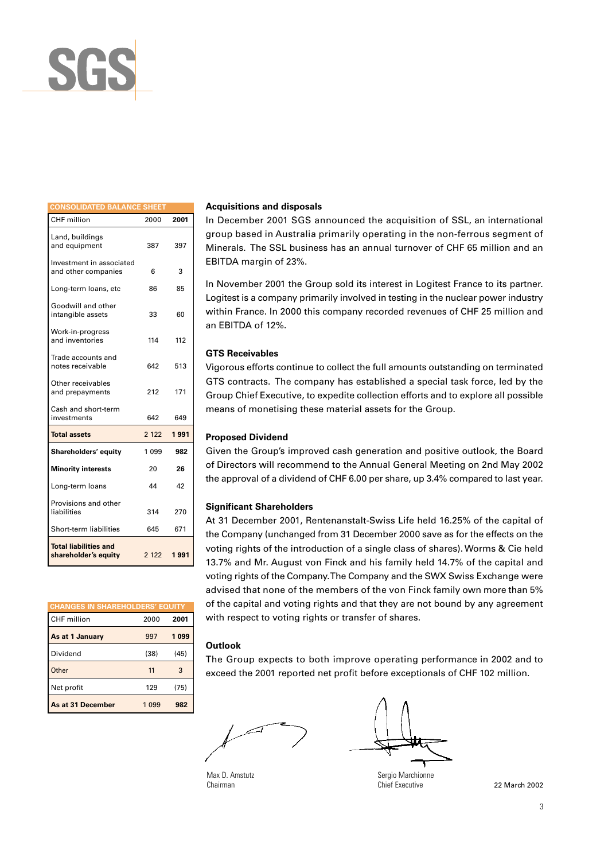

| <b>CONSOLIDATED BALANCE SHEET</b>                    |         |      |
|------------------------------------------------------|---------|------|
| <b>CHF</b> million                                   | 2000    | 2001 |
| Land, buildings<br>and equipment                     | 387     | 397  |
| Investment in associated<br>and other companies      | 6       | 3    |
| Long-term loans, etc                                 | 86      | 85   |
| Goodwill and other<br>intangible assets              | 33      | 60   |
| Work-in-progress<br>and inventories                  | 114     | 112  |
| Trade accounts and<br>notes receivable               | 642     | 513  |
| Other receivables<br>and prepayments                 | 212     | 171  |
| Cash and short-term<br>investments                   | 642     | 649  |
| <b>Total assets</b>                                  | 2 1 2 2 | 1991 |
| Shareholders' equity                                 | 1 0 9 9 | 982  |
| <b>Minority interests</b>                            | 20      | 26   |
| Long-term loans                                      | 44      | 42   |
| Provisions and other<br>liabilities                  | 314     | 270  |
| Short-term liabilities                               | 645     | 671  |
| <b>Total liabilities and</b><br>shareholder's equity | 2 1 2 2 | 1991 |

| <b>CHANGES IN SHAREHOLDERS' EQUITY</b> |         |      |
|----------------------------------------|---------|------|
| CHF million                            | 2000    | 2001 |
| As at 1 January                        | 997     | 1099 |
| Dividend                               | (38)    | (45) |
| Other                                  | 11      | 3    |
| Net profit                             | 129     | (75) |
| As at 31 December                      | 1 0 9 9 | 982  |

#### **Acquisitions and disposals**

In December 2001 SGS announced the acquisition of SSL, an international group based in Australia primarily operating in the non-ferrous segment of Minerals. The SSL business has an annual turnover of CHF 65 million and an EBITDA margin of 23%.

In November 2001 the Group sold its interest in Logitest France to its partner. Logitest is a company primarily involved in testing in the nuclear power industry within France. In 2000 this company recorded revenues of CHF 25 million and an EBITDA of 12%.

#### **GTS Receivables**

Vigorous efforts continue to collect the full amounts outstanding on terminated GTS contracts. The company has established a special task force, led by the Group Chief Executive, to expedite collection efforts and to explore all possible means of monetising these material assets for the Group.

#### **Proposed Dividend**

Given the Group's improved cash generation and positive outlook, the Board of Directors will recommend to the Annual General Meeting on 2nd May 2002 the approval of a dividend of CHF 6.00 per share, up 3.4% compared to last year.

#### **Significant Shareholders**

At 31 December 2001, Rentenanstalt-Swiss Life held 16.25% of the capital of the Company (unchanged from 31 December 2000 save as for the effects on the voting rights of the introduction of a single class of shares). Worms & Cie held 13.7% and Mr. August von Finck and his family held 14.7% of the capital and voting rights of the Company. The Company and the SWX Swiss Exchange were advised that none of the members of the von Finck family own more than 5% of the capital and voting rights and that they are not bound by any agreement with respect to voting rights or transfer of shares.

#### **Outlook**

The Group expects to both improve operating performance in 2002 and to exceed the 2001 reported net profit before exceptionals of CHF 102 million.

Max D. Amstutz Chairman

Sergio Marchionne Chief Executive

22 March 2002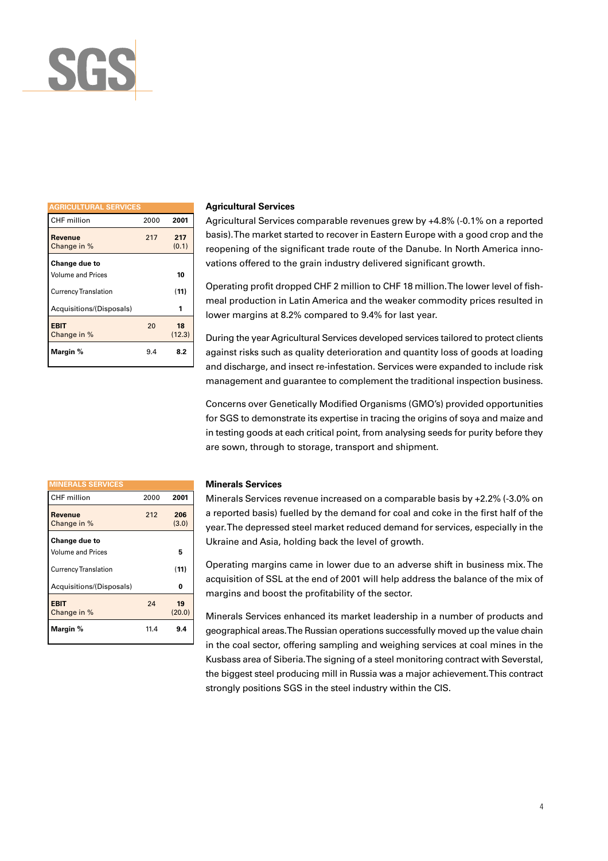

| <b>AGRICULTURAL SERVICES</b>              |      |              |
|-------------------------------------------|------|--------------|
| CHF million                               | 2000 | 2001         |
| Revenue<br>Change in %                    | 217  | 217<br>(0.1) |
| Change due to<br><b>Volume and Prices</b> |      | 10           |
| <b>Currency Translation</b>               |      | (11)         |
| Acquisitions/(Disposals)                  |      | 1            |
| <b>EBIT</b><br>Change in %                | 20   | 18<br>(12.3) |
| Margin %                                  | 9.4  | 8.2          |

#### **Agricultural Services**

Agricultural Services comparable revenues grew by +4.8% (-0.1% on a reported basis). The market started to recover in Eastern Europe with a good crop and the reopening of the significant trade route of the Danube. In North America innovations offered to the grain industry delivered significant growth.

Operating profit dropped CHF 2 million to CHF 18 million. The lower level of fishmeal production in Latin America and the weaker commodity prices resulted in lower margins at 8.2% compared to 9.4% for last year.

During the year Agricultural Services developed services tailored to protect clients against risks such as quality deterioration and quantity loss of goods at loading and discharge, and insect re-infestation. Services were expanded to include risk management and guarantee to complement the traditional inspection business.

Concerns over Genetically Modified Organisms (GMO's) provided opportunities for SGS to demonstrate its expertise in tracing the origins of soya and maize and in testing goods at each critical point, from analysing seeds for purity before they are sown, through to storage, transport and shipment.

| <b>MINERALS SERVICES</b>    |      |              |
|-----------------------------|------|--------------|
| CHF million                 | 2000 | 2001         |
| Revenue<br>Change in %      | 212  | 206<br>(3.0) |
| Change due to               |      |              |
| <b>Volume and Prices</b>    |      | 5            |
| <b>Currency Translation</b> |      | (11)         |
| Acquisitions/(Disposals)    |      | 0            |
| <b>EBIT</b><br>Change in %  | 24   | 19<br>(20.0) |
| Margin %                    | 11.4 | 9.4          |

#### **Minerals Services**

Minerals Services revenue increased on a comparable basis by +2.2% (-3.0% on a reported basis) fuelled by the demand for coal and coke in the first half of the year. The depressed steel market reduced demand for services, especially in the Ukraine and Asia, holding back the level of growth.

Operating margins came in lower due to an adverse shift in business mix. The acquisition of SSL at the end of 2001 will help address the balance of the mix of margins and boost the profitability of the sector.

Minerals Services enhanced its market leadership in a number of products and geographical areas. The Russian operations successfully moved up the value chain in the coal sector, offering sampling and weighing services at coal mines in the Kusbass area of Siberia. The signing of a steel monitoring contract with Severstal, the biggest steel producing mill in Russia was a major achievement. This contract strongly positions SGS in the steel industry within the CIS.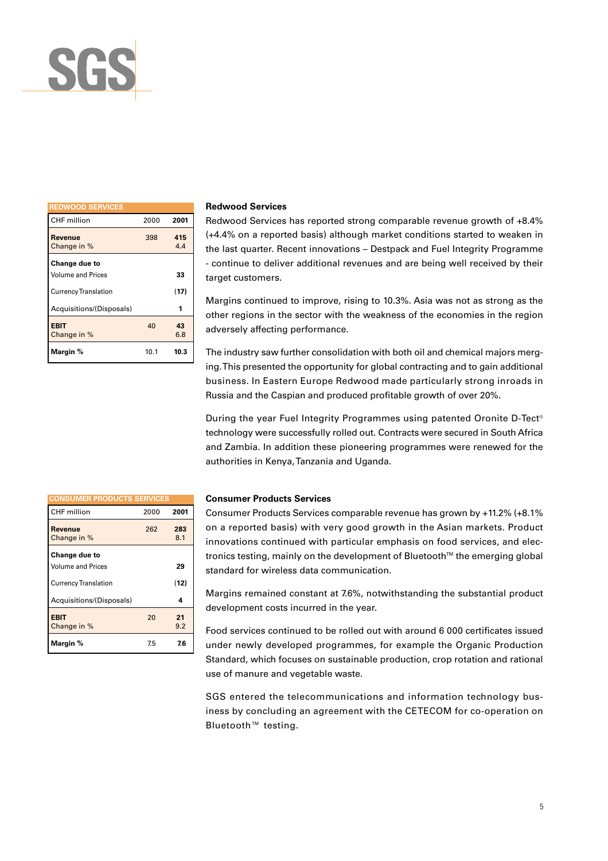

| <b>REDWOOD SERVICES</b>     |      |            |
|-----------------------------|------|------------|
| CHF million                 | 2000 | 2001       |
| Revenue<br>Change in %      | 398  | 415<br>4.4 |
| Change due to               |      |            |
| <b>Volume and Prices</b>    |      | 33         |
| <b>Currency Translation</b> |      | (17)       |
| Acquisitions/(Disposals)    |      | 1          |
| <b>EBIT</b><br>Change in %  | 40   | 43<br>6.8  |
| Margin %                    | 10.1 | 10.3       |

#### **Redwood Services**

Redwood Services has reported strong comparable revenue growth of +8.4% (+4.4% on a reported basis) although market conditions started to weaken in the last quarter. Recent innovations – Destpack and Fuel Integrity Programme - continue to deliver additional revenues and are being well received by their target customers.

Margins continued to improve, rising to 10.3%. Asia was not as strong as the other regions in the sector with the weakness of the economies in the region adversely affecting performance.

The industry saw further consolidation with both oil and chemical majors merging. This presented the opportunity for global contracting and to gain additional business. In Eastern Europe Redwood made particularly strong inroads in Russia and the Caspian and produced profitable growth of over 20%.

During the year Fuel Integrity Programmes using patented Oronite D-Tect® technology were successfully rolled out. Contracts were secured in South Africa and Zambia. In addition these pioneering programmes were renewed for the authorities in Kenya, Tanzania and Uganda.

| <b>CONSUMER PRODUCTS SERVICES</b>         |      |            |
|-------------------------------------------|------|------------|
| CHF million                               | 2000 | 2001       |
| Revenue<br>Change in %                    | 262  | 283<br>8.1 |
| Change due to<br><b>Volume and Prices</b> |      | 29         |
| <b>Currency Translation</b>               |      | (12)       |
| Acquisitions/(Disposals)                  |      | 4          |
| <b>EBIT</b><br>Change in %                | 20   | 21<br>9.2  |
| Margin %                                  | 7.5  | 7.6        |

#### **Consumer Products Services**

Consumer Products Services comparable revenue has grown by +11.2% (+8.1% on a reported basis) with very good growth in the Asian markets. Product innovations continued with particular emphasis on food services, and electronics testing, mainly on the development of Bluetooth™ the emerging global standard for wireless data communication.

Margins remained constant at 7.6%, notwithstanding the substantial product development costs incurred in the year.

Food services continued to be rolled out with around 6 000 certificates issued under newly developed programmes, for example the Organic Production Standard, which focuses on sustainable production, crop rotation and rational use of manure and vegetable waste.

SGS entered the telecommunications and information technology business by concluding an agreement with the CETECOM for co-operation on Bluetooth™ testing.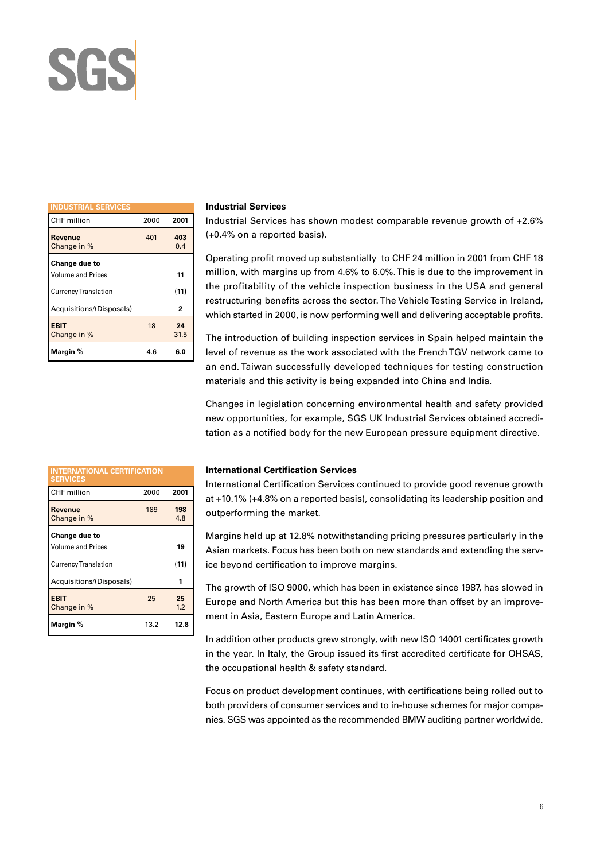

| <b>INDUSTRIAL SERVICES</b>  |      |            |
|-----------------------------|------|------------|
| CHF million                 | 2000 | 2001       |
| Revenue<br>Change in %      | 401  | 403<br>0.4 |
| Change due to               |      |            |
| <b>Volume and Prices</b>    |      | 11         |
| <b>Currency Translation</b> |      | (11)       |
| Acquisitions/(Disposals)    |      | 2          |
| <b>EBIT</b><br>Change in %  | 18   | 24<br>31.5 |
| Margin %                    | 4.6  | 6.0        |

#### **Industrial Services**

Industrial Services has shown modest comparable revenue growth of +2.6% (+0.4% on a reported basis).

Operating profit moved up substantially to CHF 24 million in 2001 from CHF 18 million, with margins up from 4.6% to 6.0%. This is due to the improvement in the profitability of the vehicle inspection business in the USA and general restructuring benefits across the sector. The Vehicle Testing Service in Ireland, which started in 2000, is now performing well and delivering acceptable profits.

The introduction of building inspection services in Spain helped maintain the level of revenue as the work associated with the French TGV network came to an end. Taiwan successfully developed techniques for testing construction materials and this activity is being expanded into China and India.

Changes in legislation concerning environmental health and safety provided new opportunities, for example, SGS UK Industrial Services obtained accreditation as a notified body for the new European pressure equipment directive.

| <b>INTERNATIONAL CERTIFICATION</b><br><b>SERVICES</b> |      |            |
|-------------------------------------------------------|------|------------|
| CHF million                                           | 2000 | 2001       |
| Revenue<br>Change in %                                | 189  | 198<br>4.8 |
| Change due to<br><b>Volume and Prices</b>             |      | 19         |
| <b>Currency Translation</b>                           |      | (11)       |
| Acquisitions/(Disposals)                              |      | 1          |
| <b>EBIT</b><br>Change in %                            | 25   | 25<br>1.2  |
| Margin %                                              | 13.2 | 12.8       |

#### **International Certification Services**

International Certification Services continued to provide good revenue growth at +10.1% (+4.8% on a reported basis), consolidating its leadership position and outperforming the market.

Margins held up at 12.8% notwithstanding pricing pressures particularly in the Asian markets. Focus has been both on new standards and extending the service beyond certification to improve margins.

The growth of ISO 9000, which has been in existence since 1987, has slowed in Europe and North America but this has been more than offset by an improvement in Asia, Eastern Europe and Latin America.

In addition other products grew strongly, with new ISO 14001 certificates growth in the year. In Italy, the Group issued its first accredited certificate for OHSAS, the occupational health & safety standard.

Focus on product development continues, with certifications being rolled out to both providers of consumer services and to in-house schemes for major companies. SGS was appointed as the recommended BMW auditing partner worldwide.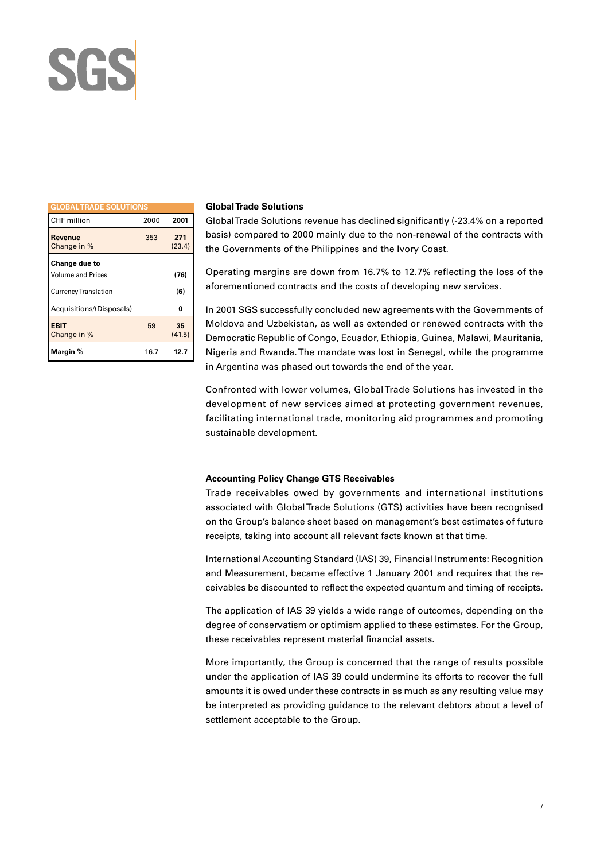

| <b>GLOBAL TRADE SOLUTIONS</b> |      |               |
|-------------------------------|------|---------------|
| CHF million                   | 2000 | 2001          |
| Revenue<br>Change in %        | 353  | 271<br>(23.4) |
| Change due to                 |      |               |
| <b>Volume and Prices</b>      |      | (76)          |
| <b>Currency Translation</b>   |      | (6)           |
| Acquisitions/(Disposals)      |      | 0             |
| <b>EBIT</b><br>Change in %    | 59   | 35<br>(41.5)  |
| Margin %                      | 16.7 | 12.7          |

#### **Global Trade Solutions**

Global Trade Solutions revenue has declined significantly (-23.4% on a reported basis) compared to 2000 mainly due to the non-renewal of the contracts with the Governments of the Philippines and the Ivory Coast.

Operating margins are down from 16.7% to 12.7% reflecting the loss of the aforementioned contracts and the costs of developing new services.

In 2001 SGS successfully concluded new agreements with the Governments of Moldova and Uzbekistan, as well as extended or renewed contracts with the Democratic Republic of Congo, Ecuador, Ethiopia, Guinea, Malawi, Mauritania, Nigeria and Rwanda. The mandate was lost in Senegal, while the programme in Argentina was phased out towards the end of the year.

Confronted with lower volumes, Global Trade Solutions has invested in the development of new services aimed at protecting government revenues, facilitating international trade, monitoring aid programmes and promoting sustainable development.

#### **Accounting Policy Change GTS Receivables**

Trade receivables owed by governments and international institutions associated with Global Trade Solutions (GTS) activities have been recognised on the Group's balance sheet based on management's best estimates of future receipts, taking into account all relevant facts known at that time.

International Accounting Standard (IAS) 39, Financial Instruments: Recognition and Measurement, became effective 1 January 2001 and requires that the receivables be discounted to reflect the expected quantum and timing of receipts.

The application of IAS 39 yields a wide range of outcomes, depending on the degree of conservatism or optimism applied to these estimates. For the Group, these receivables represent material financial assets.

More importantly, the Group is concerned that the range of results possible under the application of IAS 39 could undermine its efforts to recover the full amounts it is owed under these contracts in as much as any resulting value may be interpreted as providing guidance to the relevant debtors about a level of settlement acceptable to the Group.